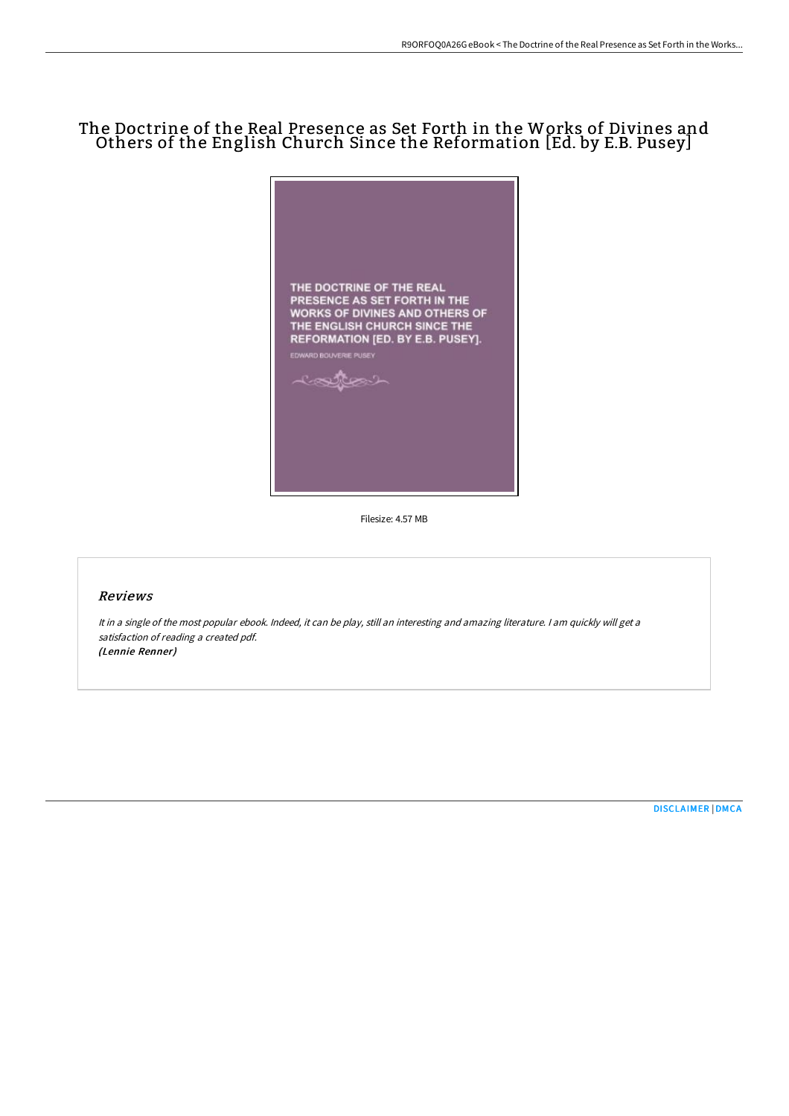## The Doctrine of the Real Presence as Set Forth in the Works of Divines and Others of the English Church Since the Reformation [Ed. by E.B. Pusey]



Filesize: 4.57 MB

## Reviews

It in <sup>a</sup> single of the most popular ebook. Indeed, it can be play, still an interesting and amazing literature. <sup>I</sup> am quickly will get <sup>a</sup> satisfaction of reading <sup>a</sup> created pdf. (Lennie Renner)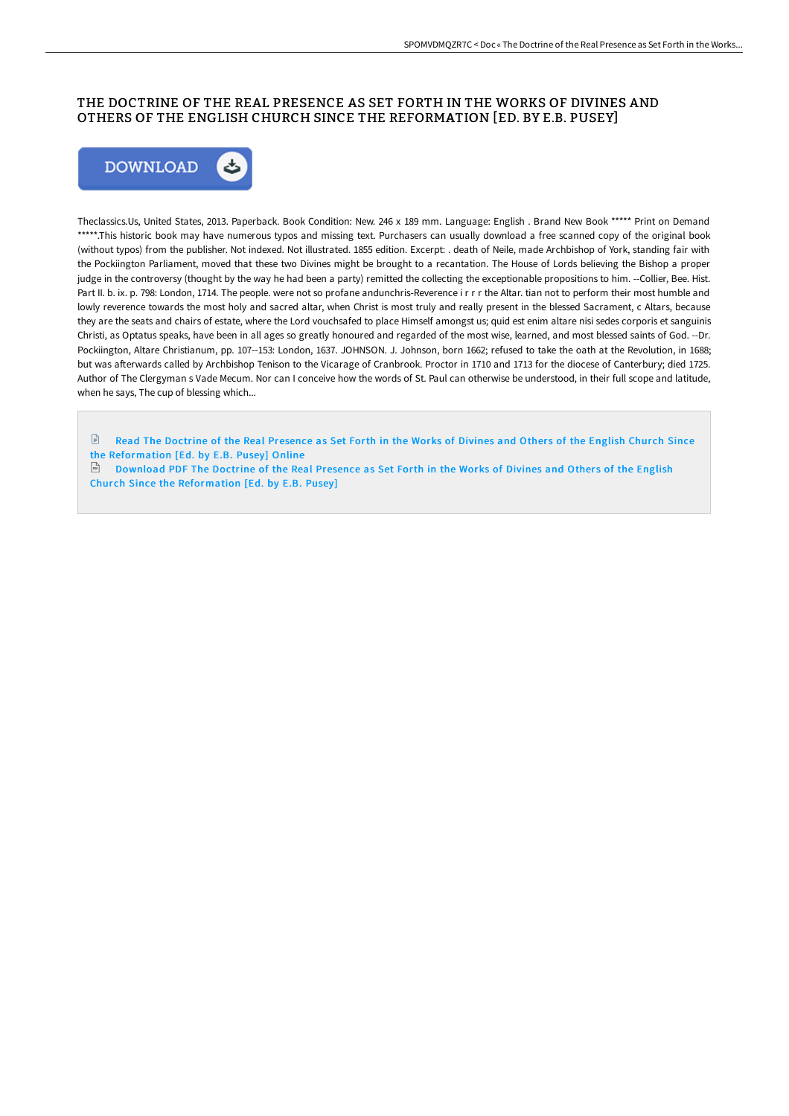## THE DOCTRINE OF THE REAL PRESENCE AS SET FORTH IN THE WORKS OF DIVINES AND OTHERS OF THE ENGLISH CHURCH SINCE THE REFORMATION [ED. BY E.B. PUSEY]



Theclassics.Us, United States, 2013. Paperback. Book Condition: New. 246 x 189 mm. Language: English . Brand New Book \*\*\*\*\* Print on Demand \*\*\*\*\*.This historic book may have numerous typos and missing text. Purchasers can usually download a free scanned copy of the original book (without typos) from the publisher. Not indexed. Not illustrated. 1855 edition. Excerpt: . death of Neile, made Archbishop of York, standing fair with the Pockiington Parliament, moved that these two Divines might be brought to a recantation. The House of Lords believing the Bishop a proper judge in the controversy (thought by the way he had been a party) remitted the collecting the exceptionable propositions to him. --Collier, Bee. Hist. Part II. b. ix. p. 798: London, 1714. The people. were not so profane andunchris-Reverence i r r r the Altar. tian not to perform their most humble and lowly reverence towards the most holy and sacred altar, when Christ is most truly and really present in the blessed Sacrament, c Altars, because they are the seats and chairs of estate, where the Lord vouchsafed to place Himself amongst us; quid est enim altare nisi sedes corporis et sanguinis Christi, as Optatus speaks, have been in all ages so greatly honoured and regarded of the most wise, learned, and most blessed saints of God. --Dr. Pockiington, Altare Christianum, pp. 107--153: London, 1637. JOHNSON. J. Johnson, born 1662; refused to take the oath at the Revolution, in 1688; but was afterwards called by Archbishop Tenison to the Vicarage of Cranbrook. Proctor in 1710 and 1713 for the diocese of Canterbury; died 1725. Author of The Clergyman s Vade Mecum. Nor can I conceive how the words of St. Paul can otherwise be understood, in their full scope and latitude, when he says, The cup of blessing which...

 $\mathbb{R}$ Read The Doctrine of the Real Presence as Set Forth in the Works of Divines and Others of the English Church Since the [Reformation](http://techno-pub.tech/the-doctrine-of-the-real-presence-as-set-forth-i.html) [Ed. by E.B. Pusey] Online

 $\Box$  Download PDF The Doctrine of the Real Presence as Set Forth in the Works of Divines and Others of the English Church Since the [Reformation](http://techno-pub.tech/the-doctrine-of-the-real-presence-as-set-forth-i.html) [Ed. by E.B. Pusey]